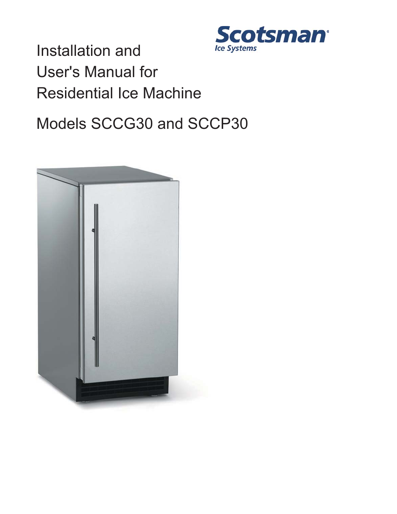

Installation and User's Manual for Residential Ice Machine

# Models SCCG30 and SCCP30

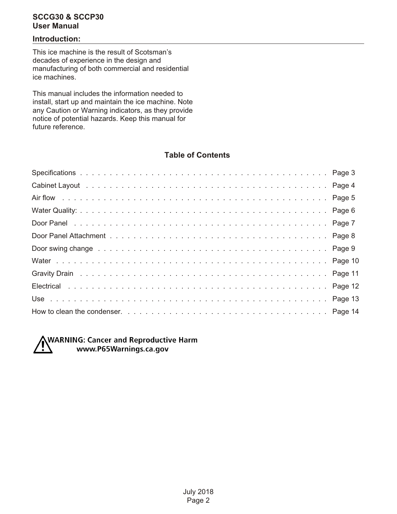#### **Introduction:**

This ice machine is the result of Scotsman's decades of experience in the design and manufacturing of both commercial and residential ice machines.

This manual includes the information needed to install, start up and maintain the ice machine. Note any Caution or Warning indicators, as they provide notice of potential hazards. Keep this manual for future reference.

#### **Table of Contents**



**NWARNING: Cancer and Reproductive Harm** www.P65Warnings.ca.gov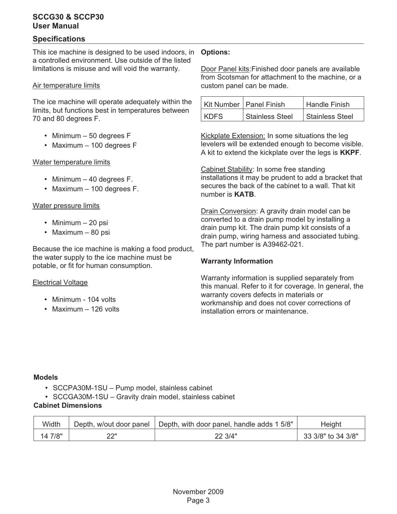#### **Specifications**

This ice machine is designed to be used indoors, in **Options:** a controlled environment. Use outside of the listed limitations is misuse and will void the warranty.

#### Air temperature limits

The ice machine will operate adequately within the limits, but functions best in temperatures between 70 and 80 degrees F.

- Minimum 50 degrees F
- $\cdot$  Maximum 100 degrees F

#### Water temperature limits

- Minimum 40 degrees F.
- Maximum 100 degrees F.

#### Water pressure limits

- Minimum 20 psi
- $•$  Maximum 80 psi

Because the ice machine is making a food product, the water supply to the ice machine must be potable, or fit for human consumption.

#### Electrical Voltage

- Minimum 104 volts
- Maximum 126 volts

Door Panel kits:Finished door panels are available from Scotsman for attachment to the machine, or a custom panel can be made.

|             | Kit Number   Panel Finish | <b>Handle Finish</b>   |
|-------------|---------------------------|------------------------|
| <b>KDFS</b> | <b>Stainless Steel</b>    | <b>Stainless Steel</b> |

Kickplate Extension: In some situations the leg levelers will be extended enough to become visible. A kit to extend the kickplate over the legs is **KKPF**.

Cabinet Stability: In some free standing installations it may be prudent to add a bracket that secures the back of the cabinet to a wall. That kit number is **KATB**.

Drain Conversion: A gravity drain model can be converted to a drain pump model by installing a drain pump kit. The drain pump kit consists of a drain pump, wiring harness and associated tubing. The part number is A39462-021.

#### **Warranty Information**

Warranty information is supplied separately from this manual. Refer to it for coverage. In general, the warranty covers defects in materials or workmanship and does not cover corrections of installation errors or maintenance.

### **Models** •

- SCCPA30M-1SU Pump model, stainless cabinet
- SCCGA30M-1SU Gravity drain model, stainless cabinet

#### **Cabinet Dimensions**

| Width   | Depth, w/out door panel $\pm$ | Depth, with door panel, handle adds 1 5/8" | Height             |
|---------|-------------------------------|--------------------------------------------|--------------------|
| 14 7/8" | יורכ                          | 22 3/4"                                    | 33 3/8" to 34 3/8" |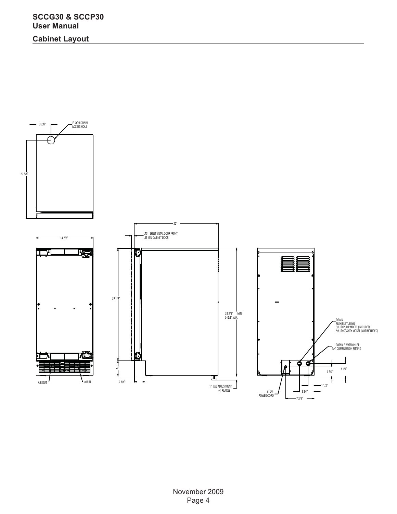**Cabinet Layout**

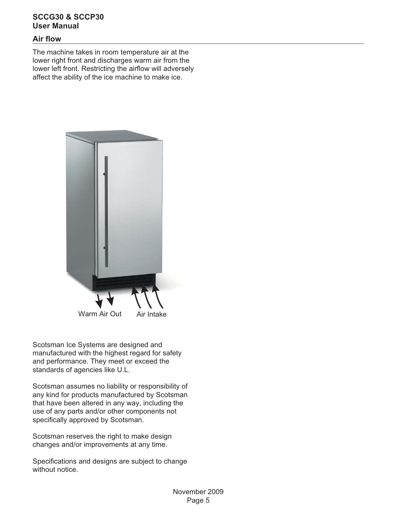#### **Air flow**

The machine takes in room temperature air at the lower right front and discharges warm air from the lower left front. Restricting the airflow will adversely affect the ability of the ice machine to make ice.



Scotsman Ice Systems are designed and manufactured with the highest regard for safety and performance. They meet or exceed the standards of agencies like U.L.

Scotsman assumes no liability or responsibility of any kind for products manufactured by Scotsman that have been altered in any way, including the use of any parts and/or other components not specifically approved by Scotsman.

Scotsman reserves the right to make design changes and/or improvements at any time.

Specifications and designs are subject to change without notice.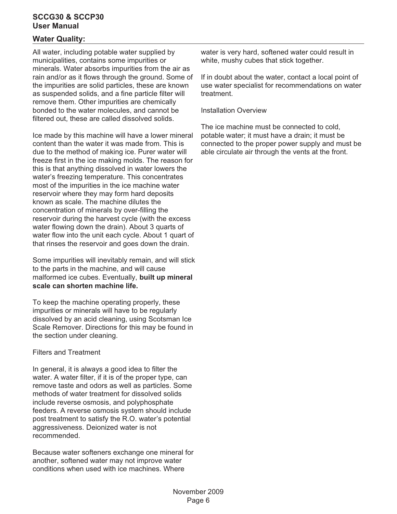#### **Water Quality:**

All water, including potable water supplied by municipalities, contains some impurities or minerals. Water absorbs impurities from the air as rain and/or as it flows through the ground. Some of the impurities are solid particles, these are known as suspended solids, and a fine particle filter will remove them. Other impurities are chemically bonded to the water molecules, and cannot be filtered out, these are called dissolved solids.

Ice made by this machine will have a lower mineral content than the water it was made from. This is due to the method of making ice. Purer water will freeze first in the ice making molds. The reason for this is that anything dissolved in water lowers the water's freezing temperature. This concentrates most of the impurities in the ice machine water reservoir where they may form hard deposits known as scale. The machine dilutes the concentration of minerals by over-filling the reservoir during the harvest cycle (with the excess water flowing down the drain). About 3 quarts of water flow into the unit each cycle. About 1 quart of that rinses the reservoir and goes down the drain.

Some impurities will inevitably remain, and will stick to the parts in the machine, and will cause malformed ice cubes. Eventually, **built up mineral scale can shorten machine life.**

To keep the machine operating properly, these impurities or minerals will have to be regularly dissolved by an acid cleaning, using Scotsman Ice Scale Remover. Directions for this may be found in the section under cleaning.

#### Filters and Treatment

In general, it is always a good idea to filter the water. A water filter, if it is of the proper type, can remove taste and odors as well as particles. Some methods of water treatment for dissolved solids include reverse osmosis, and polyphosphate feeders. A reverse osmosis system should include post treatment to satisfy the R.O. water's potential aggressiveness. Deionized water is not recommended.

Because water softeners exchange one mineral for another, softened water may not improve water conditions when used with ice machines. Where

water is very hard, softened water could result in white, mushy cubes that stick together.

If in doubt about the water, contact a local point of use water specialist for recommendations on water treatment.

Installation Overview

The ice machine must be connected to cold, potable water; it must have a drain; it must be connected to the proper power supply and must be able circulate air through the vents at the front.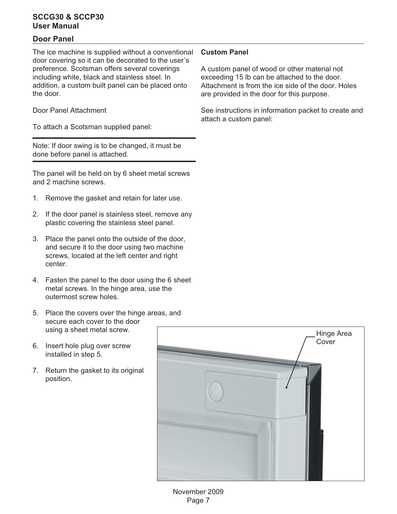#### **Door Panel**

The ice machine is supplied without a conventional door covering so it can be decorated to the user's preference. Scotsman offers several coverings including white, black and stainless steel. In addition, a custom built panel can be placed onto the door.

Door Panel Attachment

To attach a Scotsman supplied panel:

Note: If door swing is to be changed, it must be done before panel is attached.

The panel will be held on by 6 sheet metal screws and 2 machine screws.

- 1. Remove the gasket and retain for later use.
- 2. If the door panel is stainless steel, remove any plastic covering the stainless steel panel.
- 3. Place the panel onto the outside of the door, and secure it to the door using two machine screws, located at the left center and right center.
- 4. Fasten the panel to the door using the 6 sheet metal screws. In the hinge area, use the outermost screw holes.
- 5. Place the covers over the hinge areas, and secure each cover to the door using a sheet metal screw.
- 6. Insert hole plug over screw installed in step 5.
- 7. Return the gasket to its original position.

# Hinge Area Cover

#### **Custom Panel**

A custom panel of wood or other material not exceeding 15 lb can be attached to the door. Attachment is from the ice side of the door. Holes are provided in the door for this purpose.

See instructions in information packet to create and attach a custom panel: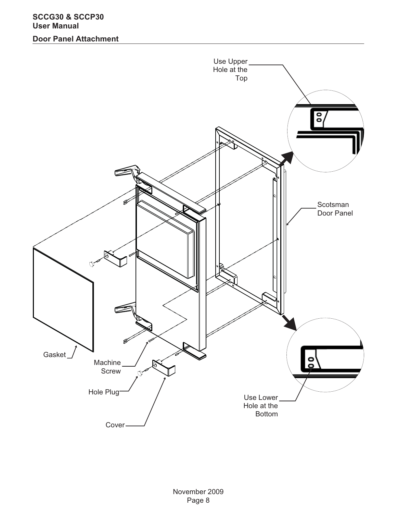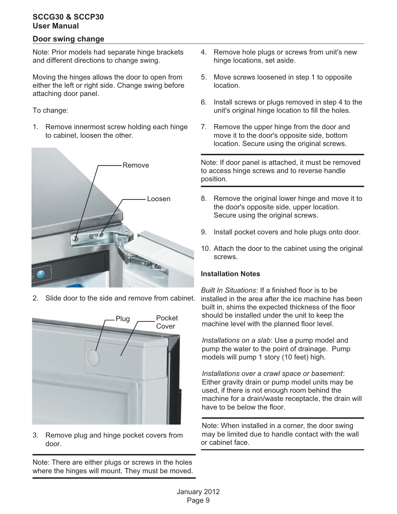#### **Door swing change**

Note: Prior models had separate hinge brackets and different directions to change swing.

Moving the hinges allows the door to open from either the left or right side. Change swing before attaching door panel.

To change:

1. Remove innermost screw holding each hinge to cabinet, loosen the other.



Slide door to the side and remove from cabinet.



3. Remove plug and hinge pocket covers from door.

Note: There are either plugs or screws in the holes where the hinges will mount. They must be moved.

- 4. Remove hole plugs or screws from unit's new hinge locations, set aside.
- 5. Move screws loosened in step 1 to opposite location.
- 6. Install screws or plugs removed in step 4 to the unit's original hinge location to fill the holes.
- 7. Remove the upper hinge from the door and move it to the door's opposite side, bottom location. Secure using the original screws.

Note: If door panel is attached, it must be removed to access hinge screws and to reverse handle position.

- 8. Remove the original lower hinge and move it to the door's opposite side, upper location. Secure using the original screws.
- 9. Install pocket covers and hole plugs onto door.
- 10. Attach the door to the cabinet using the original screws.

#### **Installation Notes**

*Built In Situations*: If a finished floor is to be installed in the area after the ice machine has been built in, shims the expected thickness of the floor should be installed under the unit to keep the machine level with the planned floor level.

*Installations on a slab*: Use a pump model and pump the water to the point of drainage. Pump models will pump 1 story (10 feet) high.

*Installations over a crawl space or basement*: Either gravity drain or pump model units may be used, if there is not enough room behind the machine for a drain/waste receptacle, the drain will have to be below the floor.

Note: When installed in a corner, the door swing may be limited due to handle contact with the wall or cabinet face.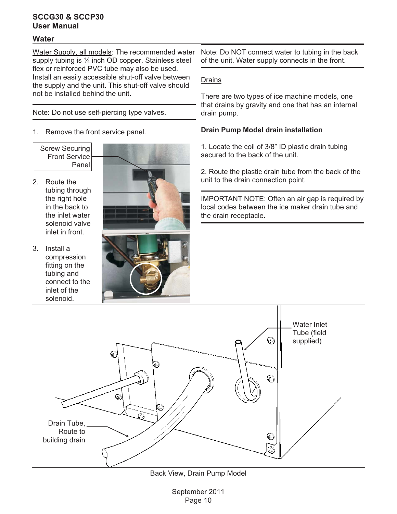#### **Water**

Water Supply, all models: The recommended water supply tubing is 1/4 inch OD copper. Stainless steel flex or reinforced PVC tube may also be used. Install an easily accessible shut-off valve between the supply and the unit. This shut-off valve should not be installed behind the unit.

Note: Do not use self-piercing type valves.

- 1. Remove the front service panel.
- Screw Securing Front Service Panel
- 2. Route the tubing through the right hole in the back to the inlet water solenoid valve inlet in front.
- 3. Install a compression fitting on the tubing and connect to the inlet of the solenoid.





Note: Do NOT connect water to tubing in the back of the unit. Water supply connects in the front.

#### Drains

There are two types of ice machine models, one that drains by gravity and one that has an internal drain pump.

#### **Drain Pump Model drain installation**

1. Locate the coil of 3/8" ID plastic drain tubing secured to the back of the unit.

2. Route the plastic drain tube from the back of the unit to the drain connection point.

IMPORTANT NOTE: Often an air gap is required by local codes between the ice maker drain tube and the drain receptacle.



Back View, Drain Pump Model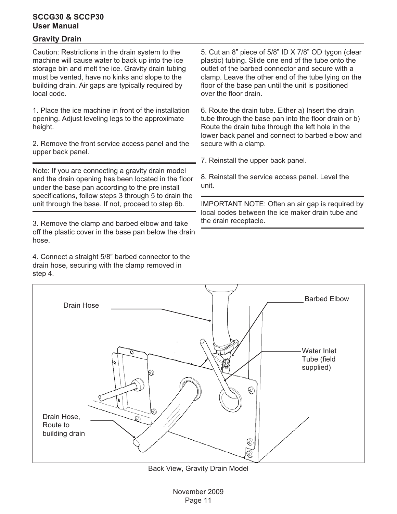#### **Gravity Drain**

Caution: Restrictions in the drain system to the machine will cause water to back up into the ice storage bin and melt the ice. Gravity drain tubing must be vented, have no kinks and slope to the building drain. Air gaps are typically required by local code.

1. Place the ice machine in front of the installation opening. Adjust leveling legs to the approximate height.

2. Remove the front service access panel and the upper back panel.

Note: If you are connecting a gravity drain model and the drain opening has been located in the floor under the base pan according to the pre install specifications, follow steps 3 through 5 to drain the unit through the base. If not, proceed to step 6b.

3. Remove the clamp and barbed elbow and take off the plastic cover in the base pan below the drain hose.

4. Connect a straight 5/8" barbed connector to the drain hose, securing with the clamp removed in step 4.

5. Cut an 8" piece of 5/8" ID X 7/8" OD tygon (clear plastic) tubing. Slide one end of the tube onto the outlet of the barbed connector and secure with a clamp. Leave the other end of the tube lying on the floor of the base pan until the unit is positioned over the floor drain.

6. Route the drain tube. Either a) Insert the drain tube through the base pan into the floor drain or b) Route the drain tube through the left hole in the lower back panel and connect to barbed elbow and secure with a clamp.

7. Reinstall the upper back panel.

8. Reinstall the service access panel. Level the unit.

IMPORTANT NOTE: Often an air gap is required by local codes between the ice maker drain tube and the drain receptacle.



Back View, Gravity Drain Model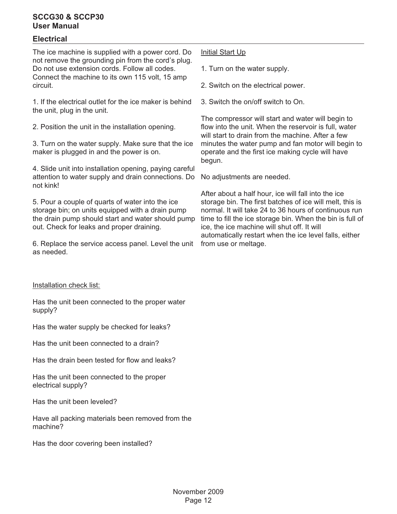#### **Electrical**

The ice machine is supplied with a power cord. Do not remove the grounding pin from the cord's plug. Do not use extension cords. Follow all codes. Connect the machine to its own 115 volt, 15 amp circuit.

1. If the electrical outlet for the ice maker is behind the unit, plug in the unit.

2. Position the unit in the installation opening.

3. Turn on the water supply. Make sure that the ice maker is plugged in and the power is on.

4. Slide unit into installation opening, paying careful attention to water supply and drain connections. Do not kink!

5. Pour a couple of quarts of water into the ice storage bin; on units equipped with a drain pump the drain pump should start and water should pump out. Check for leaks and proper draining.

6. Replace the service access panel. Level the unit as needed.

#### Installation check list:

Has the unit been connected to the proper water supply?

Has the water supply be checked for leaks?

Has the unit been connected to a drain?

Has the drain been tested for flow and leaks?

Has the unit been connected to the proper electrical supply?

Has the unit been leveled?

Have all packing materials been removed from the machine?

Has the door covering been installed?

#### Initial Start Up

1. Turn on the water supply.

2. Switch on the electrical power.

3. Switch the on/off switch to On.

The compressor will start and water will begin to flow into the unit. When the reservoir is full, water will start to drain from the machine. After a few minutes the water pump and fan motor will begin to operate and the first ice making cycle will have begun.

No adjustments are needed.

After about a half hour, ice will fall into the ice storage bin. The first batches of ice will melt, this is normal. It will take 24 to 36 hours of continuous run time to fill the ice storage bin. When the bin is full of ice, the ice machine will shut off. It will automatically restart when the ice level falls, either from use or meltage.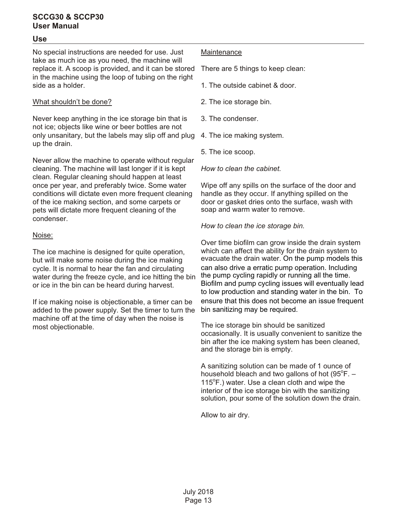#### **Use**

No special instructions are needed for use. Just take as much ice as you need, the machine will replace it. A scoop is provided, and it can be stored in the machine using the loop of tubing on the right side as a holder.

#### What shouldn't be done?

Never keep anything in the ice storage bin that is not ice; objects like wine or beer bottles are not only unsanitary, but the labels may slip off and plug up the drain.

Never allow the machine to operate without regular cleaning. The machine will last longer if it is kept clean. Regular cleaning should happen at least once per year, and preferably twice. Some water conditions will dictate even more frequent cleaning of the ice making section, and some carpets or pets will dictate more frequent cleaning of the condenser.

#### Noise:

The ice machine is designed for quite operation, but will make some noise during the ice making cycle. It is normal to hear the fan and circulating water during the freeze cycle, and ice hitting the bin or ice in the bin can be heard during harvest.

If ice making noise is objectionable, a timer can be added to the power supply. Set the timer to turn the machine off at the time of day when the noise is most objectionable.

#### **Maintenance**

There are 5 things to keep clean:

- 1. The outside cabinet & door.
- 2. The ice storage bin.
- 3. The condenser.
- 4. The ice making system.
- 5. The ice scoop.

#### *How to clean the cabinet.*

Wipe off any spills on the surface of the door and handle as they occur. If anything spilled on the door or gasket dries onto the surface, wash with soap and warm water to remove.

*How to clean the ice storage bin.*

Over time biofilm can grow inside the drain system which can affect the ability for the drain system to evacuate the drain water. On the pump models this can also drive a erratic pump operation. Including the pump cycling rapidly or running all the time. Biofilm and pump cycling issues will eventually lead to low production and standing water in the bin. To ensure that this does not become an issue frequent bin sanitizing may be required.

The ice storage bin should be sanitized occasionally. It is usually convenient to sanitize the bin after the ice making system has been cleaned, and the storage bin is empty.

A sanitizing solution can be made of 1 ounce of household bleach and two gallons of hot  $(95^{\circ}F. -$ 115°F.) water. Use a clean cloth and wipe the interior of the ice storage bin with the sanitizing solution, pour some of the solution down the drain.

Allow to air dry.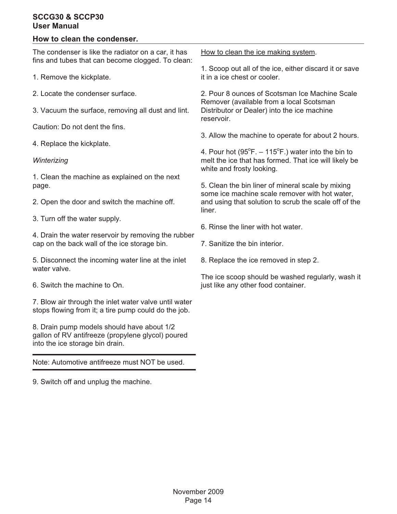#### **How to clean the condenser.**

The condenser is like the radiator on a car, it has fins and tubes that can become clogged. To clean: 1. Remove the kickplate. 2. Locate the condenser surface. 3. Vacuum the surface, removing all dust and lint. Caution: Do not dent the fins. 4. Replace the kickplate. *Winterizing* 1. Clean the machine as explained on the next page. 2. Open the door and switch the machine off. 3. Turn off the water supply. 4. Drain the water reservoir by removing the rubber cap on the back wall of the ice storage bin. it in a ice chest or cooler. 2. Pour 8 ounces of Scotsman Ice Machine Scale Remover (available from a local Scotsman Distributor or Dealer) into the ice machine reservoir. 4. Pour hot  $(95^{\circ}F. - 115^{\circ}F.)$  water into the bin to white and frosty looking. 5. Clean the bin liner of mineral scale by mixing some ice machine scale remover with hot water, liner. 6. Rinse the liner with hot water. 7. Sanitize the bin interior.

5. Disconnect the incoming water line at the inlet water valve.

6. Switch the machine to On.

7. Blow air through the inlet water valve until water stops flowing from it; a tire pump could do the job.

8. Drain pump models should have about 1/2 gallon of RV antifreeze (propylene glycol) poured into the ice storage bin drain.

Note: Automotive antifreeze must NOT be used.

9. Switch off and unplug the machine.

How to clean the ice making system.

1. Scoop out all of the ice, either discard it or save

3. Allow the machine to operate for about 2 hours.

melt the ice that has formed. That ice will likely be

and using that solution to scrub the scale off of the

8. Replace the ice removed in step 2.

The ice scoop should be washed regularly, wash it just like any other food container.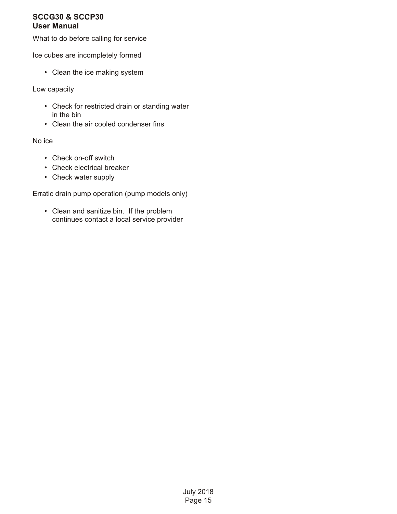What to do before calling for service

Ice cubes are incompletely formed

• Clean the ice making system

Low capacity

- Check for restricted drain or standing water in the bin
- Clean the air cooled condenser fins

No ice

- Check on-off switch
- Check electrical breaker
- Check water supply

Erratic drain pump operation (pump models only)

• Clean and sanitize bin. If the problem continues contact a local service provider